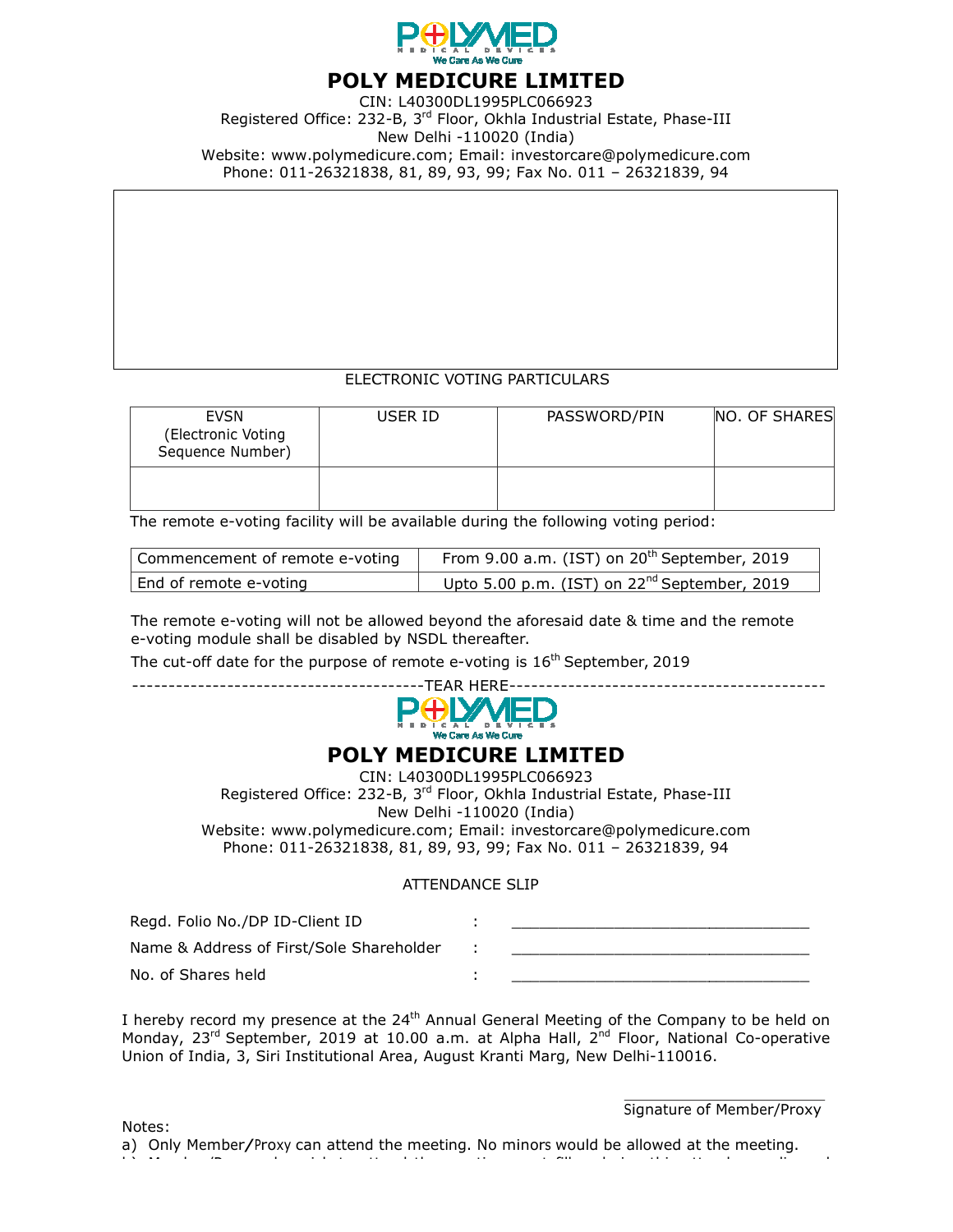

## POLY MEDICURE LIMITED

CIN: L40300DL1995PLC066923 Registered Office: 232-B, 3<sup>rd</sup> Floor, Okhla Industrial Estate, Phase-Website: www.polymedicure polymedicure.com; Email: investorcare@polymedicure.com Phone: 011-26321838, 81, 89, 93, 99 26321838, 99; Fax No. 011 – 26321839, 94 New Delhi -110020 (India)

### ELECTRONI ELECTRONIC VOTING PARTICULARS

|                                                                                                                                                                                                                                                                                                                  |                           | New Delhi -110020 (India)                                | Registered Office: 232-B, 3 <sup>rd</sup> Floor, Okhla Industrial Estate, Phase-III<br>Website: www.polymedicure.com; Email: investorcare@polymedicure.com<br>Phone: 011-26321838, 81, 89, 93, 99; Fax No. 011 - 26321839, 94 |                           |
|------------------------------------------------------------------------------------------------------------------------------------------------------------------------------------------------------------------------------------------------------------------------------------------------------------------|---------------------------|----------------------------------------------------------|-------------------------------------------------------------------------------------------------------------------------------------------------------------------------------------------------------------------------------|---------------------------|
|                                                                                                                                                                                                                                                                                                                  |                           |                                                          |                                                                                                                                                                                                                               |                           |
|                                                                                                                                                                                                                                                                                                                  |                           |                                                          |                                                                                                                                                                                                                               |                           |
|                                                                                                                                                                                                                                                                                                                  |                           |                                                          | ELECTRONIC VOTING PARTICULARS                                                                                                                                                                                                 |                           |
| <b>EVSN</b><br>(Electronic Voting<br>Sequence Number)                                                                                                                                                                                                                                                            | <b>USER ID</b>            |                                                          | PASSWORD/PIN                                                                                                                                                                                                                  | NO. OF SHARES             |
|                                                                                                                                                                                                                                                                                                                  |                           |                                                          |                                                                                                                                                                                                                               |                           |
| The remote e-voting facility will be available during the following voting period:                                                                                                                                                                                                                               |                           |                                                          |                                                                                                                                                                                                                               |                           |
| Commencement of remote e-voting                                                                                                                                                                                                                                                                                  |                           |                                                          | From 9.00 a.m. (IST) on 20 <sup>th</sup> September, 2019                                                                                                                                                                      |                           |
| End of remote e-voting                                                                                                                                                                                                                                                                                           |                           | Upto 5.00 p.m. (IST) on 22 <sup>nd</sup> September, 2019 |                                                                                                                                                                                                                               |                           |
| The remote e-voting will not be allowed beyond the aforesaid date & time and the remote<br>e-voting module shall be disabled by NSDL thereafter.<br>The cut-off date for the purpose of remote e-voting is 16 <sup>th</sup> September, 2019                                                                      |                           | <b>TEAR HERE-</b>                                        |                                                                                                                                                                                                                               |                           |
|                                                                                                                                                                                                                                                                                                                  |                           | We Care As We Cure                                       |                                                                                                                                                                                                                               |                           |
|                                                                                                                                                                                                                                                                                                                  | New Delhi -110020 (India) |                                                          | <b>POLY MEDICURE LIMITED</b><br>CIN: L40300DL1995PLC066923<br>Registered Office: 232-B, 3 <sup>rd</sup> Floor, Okhla Industrial Estate, Phase-III                                                                             |                           |
|                                                                                                                                                                                                                                                                                                                  |                           |                                                          | Website: www.polymedicure.com; Email: investorcare@polymedicure.com<br>Phone: 011-26321838, 81, 89, 93, 99; Fax No. 011 - 26321839, 94                                                                                        |                           |
|                                                                                                                                                                                                                                                                                                                  |                           | <b>ATTENDANCE SLIP</b>                                   |                                                                                                                                                                                                                               |                           |
| Regd. Folio No./DP ID-Client ID                                                                                                                                                                                                                                                                                  |                           |                                                          |                                                                                                                                                                                                                               |                           |
| Name & Address of First/Sole Shareholder                                                                                                                                                                                                                                                                         |                           |                                                          | <u> 1989 - Johann Barbara, martxa alemaniar amerikan personal (h. 1989).</u>                                                                                                                                                  |                           |
| No. of Shares held                                                                                                                                                                                                                                                                                               |                           |                                                          |                                                                                                                                                                                                                               |                           |
| hereby record my presence at the 24 <sup>th</sup> Annual General Meeting of the Company to be held on<br>10nday, 23 <sup>rd</sup> September, 2019 at 10.00 a.m. at Alpha Hall, 2 <sup>nd</sup> Floor, National Co-operative<br>Jnion of India, 3, Siri Institutional Area, August Kranti Marg, New Delhi-110016. |                           |                                                          |                                                                                                                                                                                                                               |                           |
|                                                                                                                                                                                                                                                                                                                  |                           |                                                          |                                                                                                                                                                                                                               | Signature of Member/Proxy |
| <b>Notes:</b><br>a) Only Member/Proxy can attend the meeting. No minors would be allowed at the meeting.                                                                                                                                                                                                         |                           |                                                          |                                                                                                                                                                                                                               |                           |

| The remote e-voting facility will be available during the following voting period: |                                                          |  |  |  |
|------------------------------------------------------------------------------------|----------------------------------------------------------|--|--|--|
| Commencement of remote e-voting                                                    | From 9.00 a.m. (IST) on $20th$ September, 2019           |  |  |  |
| End of remote e-voting                                                             | Upto 5.00 p.m. (IST) on 22 <sup>nd</sup> September, 2019 |  |  |  |



### POLY MEDICURE LIMITED

#### ATTENDANCE SLIP

| Website: www.polymedicure.com; Email: investorcare@polymedicure.com<br>Phone: 011-26321838, 81, 89, 93, 99; Fax No. 011 - 26321839, 94                                                                                        |  |
|-------------------------------------------------------------------------------------------------------------------------------------------------------------------------------------------------------------------------------|--|
| ATTENDANCE SLIP                                                                                                                                                                                                               |  |
| Regd. Folio No./DP ID-Client ID                                                                                                                                                                                               |  |
| Name & Address of First/Sole Shareholder                                                                                                                                                                                      |  |
| No. of Shares held                                                                                                                                                                                                            |  |
| I hereby record my presence at the 24 <sup>th</sup> Annual General Meeting of the Company to be held on<br>Monday, 23 <sup>rd</sup> September, 2019 at 10.00 a.m. at Alpha Hall, 2 <sup>nd</sup> Floor, National Co-operative |  |

Notes: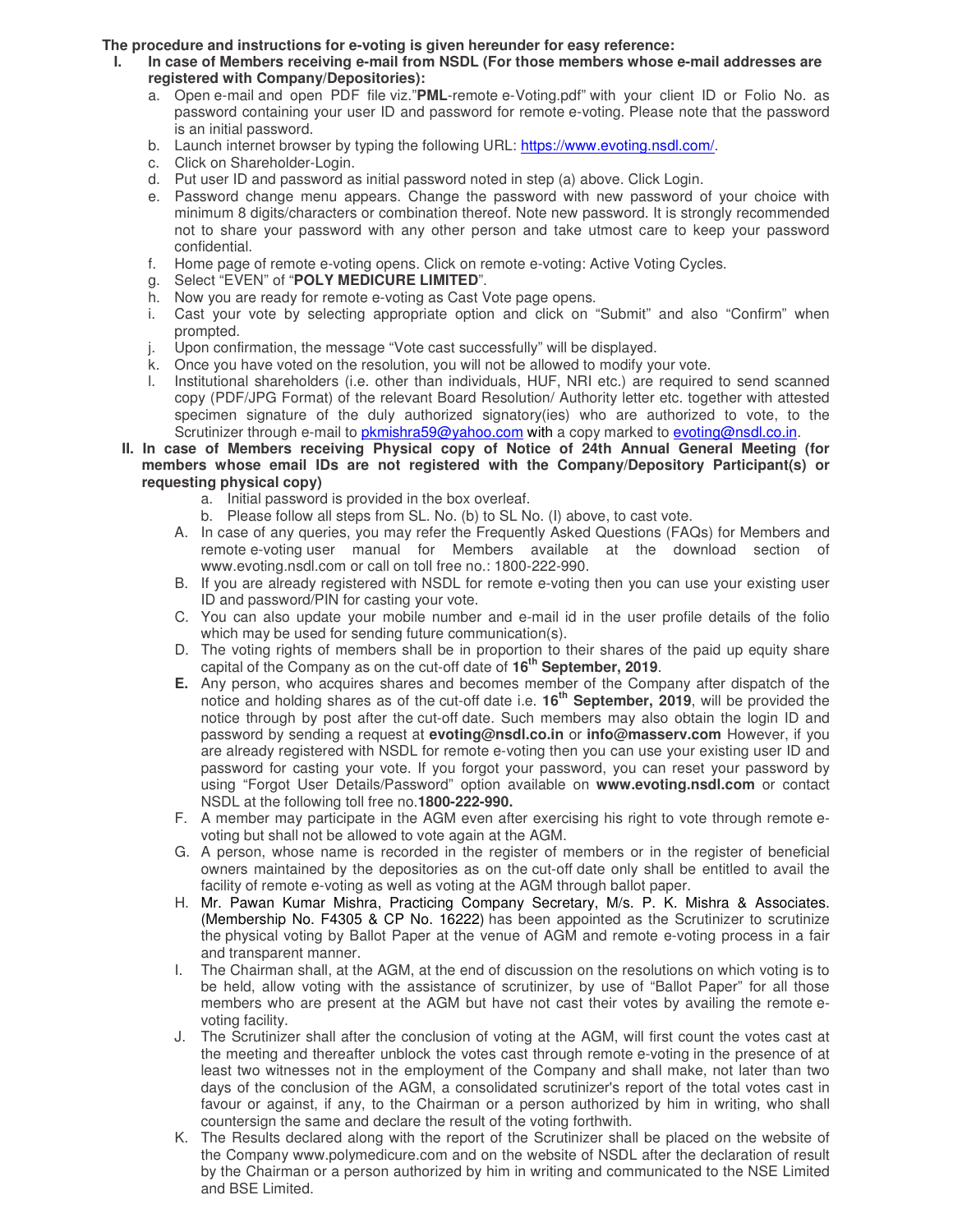#### **The procedure and instructions for e-voting is given hereunder for easy reference:**

- In case of Members receiving e-mail from NSDL (For those members whose e-mail addresses are **registered with Company/Depositories):** 
	- a. Open e-mail and open PDF file viz."**PML**-remote e-Voting.pdf" with your client ID or Folio No. as password containing your user ID and password for remote e-voting. Please note that the password is an initial password.
	- b. Launch internet browser by typing the following URL: https://www.evoting.nsdl.com/.
	- c. Click on Shareholder-Login.
	- d. Put user ID and password as initial password noted in step (a) above. Click Login.
	- e. Password change menu appears. Change the password with new password of your choice with minimum 8 digits/characters or combination thereof. Note new password. It is strongly recommended not to share your password with any other person and take utmost care to keep your password confidential.
	- f. Home page of remote e-voting opens. Click on remote e-voting: Active Voting Cycles.
	- g. Select "EVEN" of "**POLY MEDICURE LIMITED**".
	- h. Now you are ready for remote e-voting as Cast Vote page opens.
	- i. Cast your vote by selecting appropriate option and click on "Submit" and also "Confirm" when prompted.
	- j. Upon confirmation, the message "Vote cast successfully" will be displayed.
	- k. Once you have voted on the resolution, you will not be allowed to modify your vote.
	- l. Institutional shareholders (i.e. other than individuals, HUF, NRI etc.) are required to send scanned copy (PDF/JPG Format) of the relevant Board Resolution/ Authority letter etc. together with attested specimen signature of the duly authorized signatory(ies) who are authorized to vote, to the Scrutinizer through e-mail to pkmishra59@yahoo.com with a copy marked to evoting@nsdl.co.in.
	- **II. In case of Members receiving Physical copy of Notice of 24th Annual General Meeting (for members whose email IDs are not registered with the Company/Depository Participant(s) or requesting physical copy)** 
		- a. Initial password is provided in the box overleaf.
		- b. Please follow all steps from SL. No. (b) to SL No. (I) above, to cast vote.
		- A. In case of any queries, you may refer the Frequently Asked Questions (FAQs) for Members and remote e-voting user manual for Members available at the download section of www.evoting.nsdl.com or call on toll free no.: 1800-222-990.
		- B. If you are already registered with NSDL for remote e-voting then you can use your existing user ID and password/PIN for casting your vote.
		- C. You can also update your mobile number and e-mail id in the user profile details of the folio which may be used for sending future communication(s).
		- D. The voting rights of members shall be in proportion to their shares of the paid up equity share capital of the Company as on the cut-off date of **16th September, 2019**.
		- **E.** Any person, who acquires shares and becomes member of the Company after dispatch of the notice and holding shares as of the cut-off date i.e. **16th September, 2019**, will be provided the notice through by post after the cut-off date. Such members may also obtain the login ID and password by sending a request at **evoting@nsdl.co.in** or **info@masserv.com** However, if you are already registered with NSDL for remote e-voting then you can use your existing user ID and password for casting your vote. If you forgot your password, you can reset your password by using "Forgot User Details/Password" option available on **www.evoting.nsdl.com** or contact NSDL at the following toll free no.**1800-222-990.**
		- F. A member may participate in the AGM even after exercising his right to vote through remote evoting but shall not be allowed to vote again at the AGM.
		- G. A person, whose name is recorded in the register of members or in the register of beneficial owners maintained by the depositories as on the cut-off date only shall be entitled to avail the facility of remote e-voting as well as voting at the AGM through ballot paper.
		- H. Mr. Pawan Kumar Mishra, Practicing Company Secretary, M/s. P. K. Mishra & Associates. (Membership No. F4305 & CP No. 16222) has been appointed as the Scrutinizer to scrutinize the physical voting by Ballot Paper at the venue of AGM and remote e-voting process in a fair and transparent manner.
		- I. The Chairman shall, at the AGM, at the end of discussion on the resolutions on which voting is to be held, allow voting with the assistance of scrutinizer, by use of "Ballot Paper" for all those members who are present at the AGM but have not cast their votes by availing the remote evoting facility.
		- J. The Scrutinizer shall after the conclusion of voting at the AGM, will first count the votes cast at the meeting and thereafter unblock the votes cast through remote e-voting in the presence of at least two witnesses not in the employment of the Company and shall make, not later than two days of the conclusion of the AGM, a consolidated scrutinizer's report of the total votes cast in favour or against, if any, to the Chairman or a person authorized by him in writing, who shall countersign the same and declare the result of the voting forthwith.
		- K. The Results declared along with the report of the Scrutinizer shall be placed on the website of the Company www.polymedicure.com and on the website of NSDL after the declaration of result by the Chairman or a person authorized by him in writing and communicated to the NSE Limited and BSE Limited.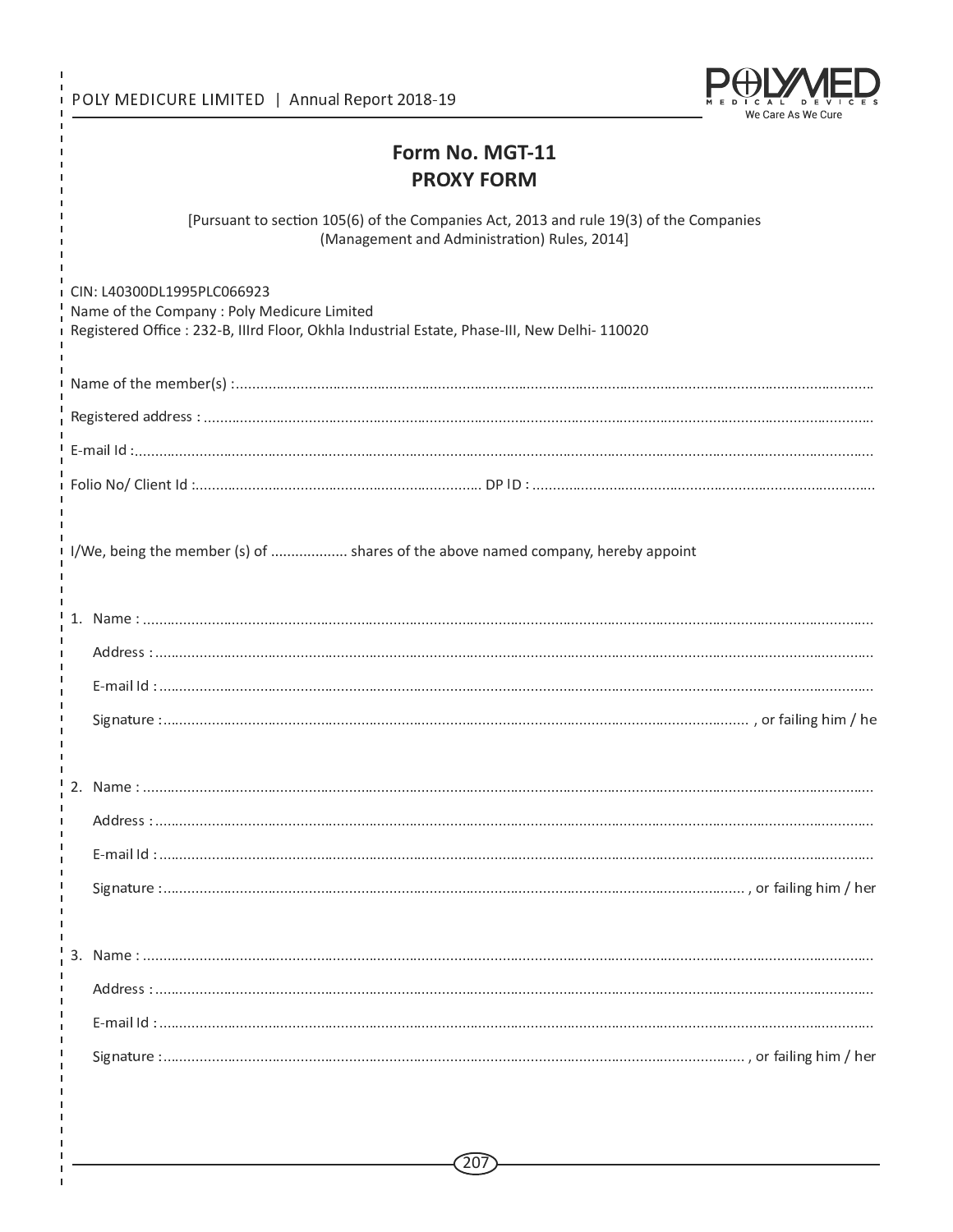POLY MEDICURE LIMITED | Annual Report 2018-19

 $\mathbf{I}$ 

Ï

Ï  $\mathbf{I}$ 

 $\mathbf{I}$  $\mathbf I$  $\mathbf{I}$  $\mathbf{I}$ 

 $\blacksquare$ 

 $\mathbf{I}$  $\blacksquare$  $\blacksquare$ 

 $\mathbf{I}$ 



# Form No. MGT-11 **PROXY FORM**

[Pursuant to section 105(6) of the Companies Act, 2013 and rule 19(3) of the Companies (Management and Administration) Rules, 2014]

| I CIN: L40300DL1995PLC066923<br>Name of the Company : Poly Medicure Limited<br>Registered Office : 232-B, Illrd Floor, Okhla Industrial Estate, Phase-III, New Delhi- 110020 |                                                                                    |  |  |  |
|------------------------------------------------------------------------------------------------------------------------------------------------------------------------------|------------------------------------------------------------------------------------|--|--|--|
|                                                                                                                                                                              |                                                                                    |  |  |  |
|                                                                                                                                                                              |                                                                                    |  |  |  |
|                                                                                                                                                                              |                                                                                    |  |  |  |
|                                                                                                                                                                              |                                                                                    |  |  |  |
|                                                                                                                                                                              | I I/We, being the member (s) of  shares of the above named company, hereby appoint |  |  |  |
|                                                                                                                                                                              |                                                                                    |  |  |  |
|                                                                                                                                                                              |                                                                                    |  |  |  |
|                                                                                                                                                                              |                                                                                    |  |  |  |
|                                                                                                                                                                              |                                                                                    |  |  |  |
|                                                                                                                                                                              |                                                                                    |  |  |  |
|                                                                                                                                                                              |                                                                                    |  |  |  |
|                                                                                                                                                                              |                                                                                    |  |  |  |
|                                                                                                                                                                              |                                                                                    |  |  |  |
|                                                                                                                                                                              |                                                                                    |  |  |  |
|                                                                                                                                                                              |                                                                                    |  |  |  |
|                                                                                                                                                                              |                                                                                    |  |  |  |
|                                                                                                                                                                              |                                                                                    |  |  |  |
|                                                                                                                                                                              |                                                                                    |  |  |  |
|                                                                                                                                                                              |                                                                                    |  |  |  |
|                                                                                                                                                                              |                                                                                    |  |  |  |
|                                                                                                                                                                              |                                                                                    |  |  |  |